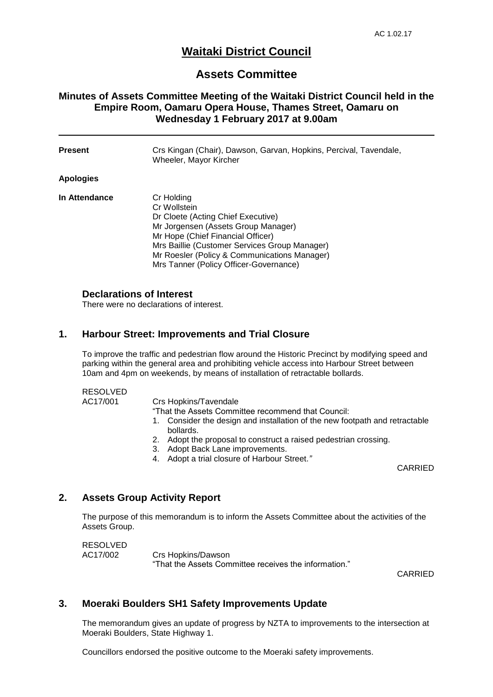# **Waitaki District Council**

## **Assets Committee**

### **Minutes of Assets Committee Meeting of the Waitaki District Council held in the Empire Room, Oamaru Opera House, Thames Street, Oamaru on Wednesday 1 February 2017 at 9.00am**

| <b>Present</b>   | Crs Kingan (Chair), Dawson, Garvan, Hopkins, Percival, Tavendale,<br>Wheeler, Mayor Kircher                                                                                                                                                                                             |
|------------------|-----------------------------------------------------------------------------------------------------------------------------------------------------------------------------------------------------------------------------------------------------------------------------------------|
| <b>Apologies</b> |                                                                                                                                                                                                                                                                                         |
| In Attendance    | Cr Holding<br>Cr Wollstein<br>Dr Cloete (Acting Chief Executive)<br>Mr Jorgensen (Assets Group Manager)<br>Mr Hope (Chief Financial Officer)<br>Mrs Baillie (Customer Services Group Manager)<br>Mr Roesler (Policy & Communications Manager)<br>Mrs Tanner (Policy Officer-Governance) |

#### **Declarations of Interest**

There were no declarations of interest.

#### **1. Harbour Street: Improvements and Trial Closure**

To improve the traffic and pedestrian flow around the Historic Precinct by modifying speed and parking within the general area and prohibiting vehicle access into Harbour Street between 10am and 4pm on weekends, by means of installation of retractable bollards.

#### RESOLVED

AC17/001 Crs Hopkins/Tavendale

"That the Assets Committee recommend that Council:

- 1. Consider the design and installation of the new footpath and retractable bollards.
- 2. Adopt the proposal to construct a raised pedestrian crossing.
- 3. Adopt Back Lane improvements.
- 4. Adopt a trial closure of Harbour Street.*"*

CARRIED

### **2. Assets Group Activity Report**

The purpose of this memorandum is to inform the Assets Committee about the activities of the Assets Group.

RESOLVED AC17/002 Crs Hopkins/Dawson "That the Assets Committee receives the information."

CARRIED

### **3. Moeraki Boulders SH1 Safety Improvements Update**

The memorandum gives an update of progress by NZTA to improvements to the intersection at Moeraki Boulders, State Highway 1.

Councillors endorsed the positive outcome to the Moeraki safety improvements.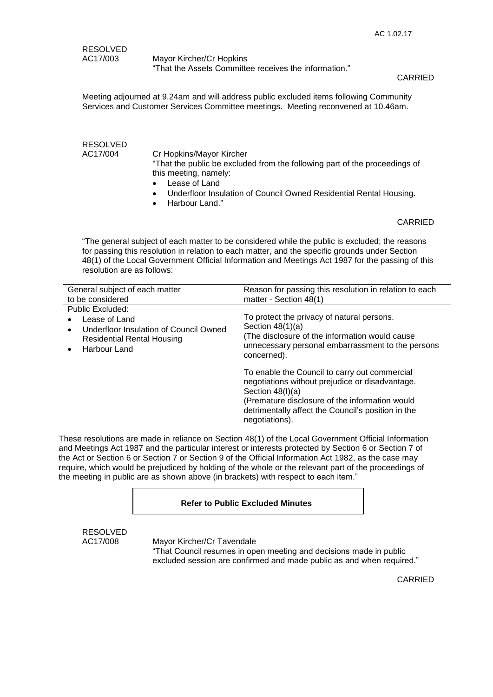AC17/003 Mayor Kircher/Cr Hopkins "That the Assets Committee receives the information."

#### CARRIED

Meeting adjourned at 9.24am and will address public excluded items following Community Services and Customer Services Committee meetings. Meeting reconvened at 10.46am.

RESOLVED

AC17/004 Cr Hopkins/Mayor Kircher "That the public be excluded from the following part of the proceedings of this meeting, namely:

- Lease of Land
- Underfloor Insulation of Council Owned Residential Rental Housing.
- Harbour Land."

#### CARRIED

"The general subject of each matter to be considered while the public is excluded; the reasons for passing this resolution in relation to each matter, and the specific grounds under Section 48(1) of the Local Government Official Information and Meetings Act 1987 for the passing of this resolution are as follows:

| General subject of each matter<br>to be considered                                                                                                 | Reason for passing this resolution in relation to each<br>matter - Section 48(1)                                                                                                                                                                 |
|----------------------------------------------------------------------------------------------------------------------------------------------------|--------------------------------------------------------------------------------------------------------------------------------------------------------------------------------------------------------------------------------------------------|
| Public Excluded:<br>Lease of Land<br>Underfloor Insulation of Council Owned<br>٠<br><b>Residential Rental Housing</b><br>Harbour Land<br>$\bullet$ | To protect the privacy of natural persons.<br>Section $48(1)(a)$<br>(The disclosure of the information would cause<br>unnecessary personal embarrassment to the persons<br>concerned).                                                           |
|                                                                                                                                                    | To enable the Council to carry out commercial<br>negotiations without prejudice or disadvantage.<br>Section $48(l)(a)$<br>(Premature disclosure of the information would<br>detrimentally affect the Council's position in the<br>negotiations). |

These resolutions are made in reliance on Section 48(1) of the Local Government Official Information and Meetings Act 1987 and the particular interest or interests protected by Section 6 or Section 7 of the Act or Section 6 or Section 7 or Section 9 of the Official Information Act 1982, as the case may require, which would be prejudiced by holding of the whole or the relevant part of the proceedings of the meeting in public are as shown above (in brackets) with respect to each item."

#### **Refer to Public Excluded Minutes**

RESOLVED

AC17/008 Mayor Kircher/Cr Tavendale

"That Council resumes in open meeting and decisions made in public excluded session are confirmed and made public as and when required."

CARRIED